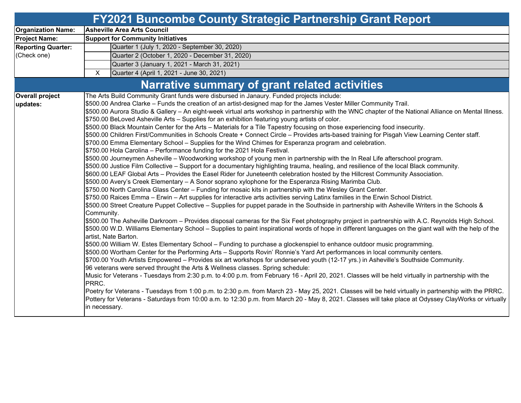| <b>FY2021 Buncombe County Strategic Partnership Grant Report</b> |                                                                                                                                                                                                                                                                                                                                                                                                                                                                                                                                                                                                                                                                                                                                                                                                                                                                                                                                                                                                                                                                                                                                                                                                                                                                                                                                                                                                                                                                                                                                                                                                                                                                                                                                                                                                                                                                                                                                                                                                                                                                                                                                                                                                                                                                                                                                                                                                                                                                                                                                                                                                                                                                                                                                                                                                                                                                                                                                                                                                                                                                                                                                                                                                                     |  |  |  |  |  |  |  |  |  |
|------------------------------------------------------------------|---------------------------------------------------------------------------------------------------------------------------------------------------------------------------------------------------------------------------------------------------------------------------------------------------------------------------------------------------------------------------------------------------------------------------------------------------------------------------------------------------------------------------------------------------------------------------------------------------------------------------------------------------------------------------------------------------------------------------------------------------------------------------------------------------------------------------------------------------------------------------------------------------------------------------------------------------------------------------------------------------------------------------------------------------------------------------------------------------------------------------------------------------------------------------------------------------------------------------------------------------------------------------------------------------------------------------------------------------------------------------------------------------------------------------------------------------------------------------------------------------------------------------------------------------------------------------------------------------------------------------------------------------------------------------------------------------------------------------------------------------------------------------------------------------------------------------------------------------------------------------------------------------------------------------------------------------------------------------------------------------------------------------------------------------------------------------------------------------------------------------------------------------------------------------------------------------------------------------------------------------------------------------------------------------------------------------------------------------------------------------------------------------------------------------------------------------------------------------------------------------------------------------------------------------------------------------------------------------------------------------------------------------------------------------------------------------------------------------------------------------------------------------------------------------------------------------------------------------------------------------------------------------------------------------------------------------------------------------------------------------------------------------------------------------------------------------------------------------------------------------------------------------------------------------------------------------------------------|--|--|--|--|--|--|--|--|--|
| <b>Organization Name:</b>                                        | <b>Asheville Area Arts Council</b>                                                                                                                                                                                                                                                                                                                                                                                                                                                                                                                                                                                                                                                                                                                                                                                                                                                                                                                                                                                                                                                                                                                                                                                                                                                                                                                                                                                                                                                                                                                                                                                                                                                                                                                                                                                                                                                                                                                                                                                                                                                                                                                                                                                                                                                                                                                                                                                                                                                                                                                                                                                                                                                                                                                                                                                                                                                                                                                                                                                                                                                                                                                                                                                  |  |  |  |  |  |  |  |  |  |
| <b>Project Name:</b>                                             | <b>Support for Community Initiatives</b>                                                                                                                                                                                                                                                                                                                                                                                                                                                                                                                                                                                                                                                                                                                                                                                                                                                                                                                                                                                                                                                                                                                                                                                                                                                                                                                                                                                                                                                                                                                                                                                                                                                                                                                                                                                                                                                                                                                                                                                                                                                                                                                                                                                                                                                                                                                                                                                                                                                                                                                                                                                                                                                                                                                                                                                                                                                                                                                                                                                                                                                                                                                                                                            |  |  |  |  |  |  |  |  |  |
| <b>Reporting Quarter:</b>                                        | Quarter 1 (July 1, 2020 - September 30, 2020)                                                                                                                                                                                                                                                                                                                                                                                                                                                                                                                                                                                                                                                                                                                                                                                                                                                                                                                                                                                                                                                                                                                                                                                                                                                                                                                                                                                                                                                                                                                                                                                                                                                                                                                                                                                                                                                                                                                                                                                                                                                                                                                                                                                                                                                                                                                                                                                                                                                                                                                                                                                                                                                                                                                                                                                                                                                                                                                                                                                                                                                                                                                                                                       |  |  |  |  |  |  |  |  |  |
| (Check one)                                                      | Quarter 2 (October 1, 2020 - December 31, 2020)                                                                                                                                                                                                                                                                                                                                                                                                                                                                                                                                                                                                                                                                                                                                                                                                                                                                                                                                                                                                                                                                                                                                                                                                                                                                                                                                                                                                                                                                                                                                                                                                                                                                                                                                                                                                                                                                                                                                                                                                                                                                                                                                                                                                                                                                                                                                                                                                                                                                                                                                                                                                                                                                                                                                                                                                                                                                                                                                                                                                                                                                                                                                                                     |  |  |  |  |  |  |  |  |  |
|                                                                  | Quarter 3 (January 1, 2021 - March 31, 2021)                                                                                                                                                                                                                                                                                                                                                                                                                                                                                                                                                                                                                                                                                                                                                                                                                                                                                                                                                                                                                                                                                                                                                                                                                                                                                                                                                                                                                                                                                                                                                                                                                                                                                                                                                                                                                                                                                                                                                                                                                                                                                                                                                                                                                                                                                                                                                                                                                                                                                                                                                                                                                                                                                                                                                                                                                                                                                                                                                                                                                                                                                                                                                                        |  |  |  |  |  |  |  |  |  |
|                                                                  | $\overline{X}$<br>Quarter 4 (April 1, 2021 - June 30, 2021)                                                                                                                                                                                                                                                                                                                                                                                                                                                                                                                                                                                                                                                                                                                                                                                                                                                                                                                                                                                                                                                                                                                                                                                                                                                                                                                                                                                                                                                                                                                                                                                                                                                                                                                                                                                                                                                                                                                                                                                                                                                                                                                                                                                                                                                                                                                                                                                                                                                                                                                                                                                                                                                                                                                                                                                                                                                                                                                                                                                                                                                                                                                                                         |  |  |  |  |  |  |  |  |  |
| Narrative summary of grant related activities                    |                                                                                                                                                                                                                                                                                                                                                                                                                                                                                                                                                                                                                                                                                                                                                                                                                                                                                                                                                                                                                                                                                                                                                                                                                                                                                                                                                                                                                                                                                                                                                                                                                                                                                                                                                                                                                                                                                                                                                                                                                                                                                                                                                                                                                                                                                                                                                                                                                                                                                                                                                                                                                                                                                                                                                                                                                                                                                                                                                                                                                                                                                                                                                                                                                     |  |  |  |  |  |  |  |  |  |
| <b>Overall project</b><br>updates:                               | The Arts Build Community Grant funds were disbursed in Janaury. Funded projects include:<br>\$500.00 Andrea Clarke – Funds the creation of an artist-designed map for the James Vester Miller Community Trail.<br>\$500.00 Aurora Studio & Gallery - An eight-week virtual arts workshop in partnership with the WNC chapter of the National Alliance on Mental Illness.<br>\$750.00 BeLoved Asheville Arts - Supplies for an exhibition featuring young artists of color.<br>\$500.00 Black Mountain Center for the Arts - Materials for a Tile Tapestry focusing on those experiencing food insecurity.<br>\$500.00 Children First/Communities in Schools Create + Connect Circle - Provides arts-based training for Pisgah View Learning Center staff.<br>\$700.00 Emma Elementary School – Supplies for the Wind Chimes for Esperanza program and celebration.<br>\$750.00 Hola Carolina - Performance funding for the 2021 Hola Festival.<br>\$500.00 Journeymen Asheville - Woodworking workshop of young men in partnership with the In Real Life afterschool program.<br>\$500.00 Justice Film Collective - Support for a documentary highlighting trauma, healing, and resilience of the local Black community.<br>\$600.00 LEAF Global Arts - Provides the Easel Rider for Juneteenth celebration hosted by the Hillcrest Community Association.<br>\$500.00 Avery's Creek Elementary - A Sonor soprano xylophone for the Esperanza Rising Marimba Club.<br>\$750.00 North Carolina Glass Center - Funding for mosaic kits in partnership with the Wesley Grant Center.<br>\$750.00 Raices Emma - Erwin - Art supplies for interactive arts activities serving Latinx families in the Erwin School District.<br>\$500.00 Street Creature Puppet Collective - Supplies for puppet parade in the Southside in partnership with Asheville Writers in the Schools &<br>Community.<br>\$500.00 The Asheville Darkroom – Provides disposal cameras for the Six Feet photography project in partnership with A.C. Reynolds High School.<br>\$500.00 W.D. Williams Elementary School – Supplies to paint inspirational words of hope in different languages on the giant wall with the help of the<br>artist, Nate Barton.<br>\$500.00 William W. Estes Elementary School - Funding to purchase a glockenspiel to enhance outdoor music programming.<br>\$500.00 Wortham Center for the Performing Arts - Supports Rovin' Ronnie's Yard Art performances in local community centers.<br>\$700.00 Youth Artists Empowered – Provides six art workshops for underserved youth (12-17 yrs.) in Asheville's Southside Community.<br>96 veterans were served throught the Arts & Wellness classes. Spring schedule:<br>Music for Veterans - Tuesdays from 2:30 p.m. to 4:00 p.m. from February 16 - April 20, 2021. Classes will be held virtually in partnership with the<br>PRRC.<br>Poetry for Veterans - Tuesdays from 1:00 p.m. to 2:30 p.m. from March 23 - May 25, 2021. Classes will be held virtually in partnership with the PRRC.<br>Pottery for Veterans - Saturdays from 10:00 a.m. to 12:30 p.m. from March 20 - May 8, 2021. Classes will take place at Odyssey ClayWorks or virtually<br>in necessary. |  |  |  |  |  |  |  |  |  |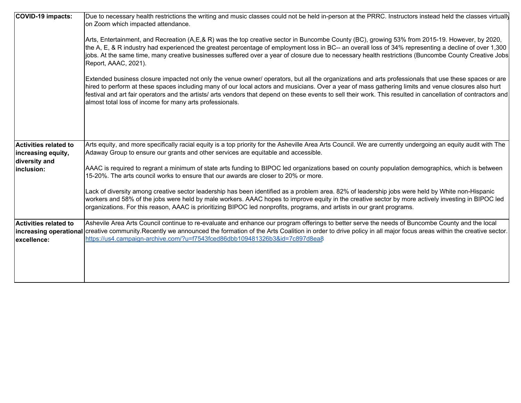| COVID-19 impacts:                     | Due to necessary health restrictions the writing and music classes could not be held in-person at the PRRC. Instructors instead held the classes virtually<br>on Zoom which impacted attendance.                                                                                                                                                                                                                                                                                                                                            |
|---------------------------------------|---------------------------------------------------------------------------------------------------------------------------------------------------------------------------------------------------------------------------------------------------------------------------------------------------------------------------------------------------------------------------------------------------------------------------------------------------------------------------------------------------------------------------------------------|
|                                       | Arts, Entertainment, and Recreation (A,E,& R) was the top creative sector in Buncombe County (BC), growing 53% from 2015-19. However, by 2020,<br>the A, E, & R industry had experienced the greatest percentage of employment loss in BC-- an overall loss of 34% representing a decline of over 1,300<br>jobs. At the same time, many creative businesses suffered over a year of closure due to necessary health restrictions (Buncombe County Creative Jobs<br>Report, AAAC, 2021).                                                     |
|                                       | Extended business closure impacted not only the venue owner/ operators, but all the organizations and arts professionals that use these spaces or are<br>hired to perform at these spaces including many of our local actors and musicians. Over a year of mass gathering limits and venue closures also hurt<br>festival and art fair operators and the artists/ arts vendors that depend on these events to sell their work. This resulted in cancellation of contractors and<br>almost total loss of income for many arts professionals. |
| <b>Activities related to</b>          | Arts equity, and more specifically racial equity is a top priority for the Asheville Area Arts Council. We are currently undergoing an equity audit with The                                                                                                                                                                                                                                                                                                                                                                                |
| increasing equity,<br>diversity and   | Adaway Group to ensure our grants and other services are equitable and accessible.                                                                                                                                                                                                                                                                                                                                                                                                                                                          |
| inclusion:                            | AAAC is required to regrant a minimum of state arts funding to BIPOC led organizations based on county population demographics, which is between<br>15-20%. The arts council works to ensure that our awards are closer to 20% or more.                                                                                                                                                                                                                                                                                                     |
|                                       | Lack of diversity among creative sector leadership has been identified as a problem area. 82% of leadership jobs were held by White non-Hispanic<br>workers and 58% of the jobs were held by male workers. AAAC hopes to improve equity in the creative sector by more actively investing in BIPOC led<br>organizations. For this reason, AAAC is prioritizing BIPOC led nonprofits, programs, and artists in our grant programs.                                                                                                           |
| <b>Activities related to</b>          | Ashevile Area Arts Council continue to re-evaluate and enhance our program offerings to better serve the needs of Buncombe County and the local                                                                                                                                                                                                                                                                                                                                                                                             |
| increasing operational<br>excellence: | creative community. Recently we announced the formation of the Arts Coalition in order to drive policy in all major focus areas within the creative sector.<br>https://us4.campaign-archive.com/?u=f7543fced86dbb109481326b3&id=7c897d8ea8                                                                                                                                                                                                                                                                                                  |
|                                       |                                                                                                                                                                                                                                                                                                                                                                                                                                                                                                                                             |
|                                       |                                                                                                                                                                                                                                                                                                                                                                                                                                                                                                                                             |
|                                       |                                                                                                                                                                                                                                                                                                                                                                                                                                                                                                                                             |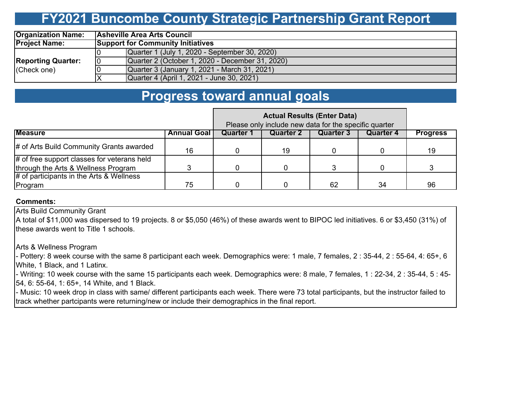## **FY2021 Buncombe County Strategic Partnership Grant Report**

| <b>Organization Name:</b>                                        | Asheville Area Arts Council |                                                 |  |  |  |  |  |  |
|------------------------------------------------------------------|-----------------------------|-------------------------------------------------|--|--|--|--|--|--|
| <b>Project Name:</b><br><b>Support for Community Initiatives</b> |                             |                                                 |  |  |  |  |  |  |
|                                                                  |                             | Quarter 1 (July 1, 2020 - September 30, 2020)   |  |  |  |  |  |  |
| <b>Reporting Quarter:</b>                                        |                             | Quarter 2 (October 1, 2020 - December 31, 2020) |  |  |  |  |  |  |
| (Check one)                                                      |                             | Quarter 3 (January 1, 2021 - March 31, 2021)    |  |  |  |  |  |  |
|                                                                  |                             | Quarter 4 (April 1, 2021 - June 30, 2021)       |  |  |  |  |  |  |

### **Progress toward annual goals**

|                                             |                    | Please only include new data for the specific quarter |           |           |                  |                 |
|---------------------------------------------|--------------------|-------------------------------------------------------|-----------|-----------|------------------|-----------------|
| <b>Measure</b>                              | <b>Annual Goal</b> | Quarter 1                                             | Quarter 2 | Quarter 3 | <b>Quarter 4</b> | <b>Progress</b> |
| # of Arts Build Community Grants awarded    | 16                 |                                                       | 19        |           |                  | 19              |
| # of free support classes for veterans held |                    |                                                       |           |           |                  |                 |
| through the Arts & Wellness Program         |                    |                                                       |           |           |                  |                 |
| # of participants in the Arts & Wellness    |                    |                                                       |           |           |                  |                 |
| Program                                     | 75                 |                                                       |           | 62        | 34               | 96              |

#### **Comments:**

Arts Build Community Grant

A total of \$11,000 was dispersed to 19 projects. 8 or \$5,050 (46%) of these awards went to BIPOC led initiatives. 6 or \$3,450 (31%) of these awards went to Title 1 schools.

Arts & Wellness Program

- Pottery: 8 week course with the same 8 participant each week. Demographics were: 1 male, 7 females, 2 : 35-44, 2 : 55-64, 4: 65+, 6 White, 1 Black, and 1 Latinx.

- Writing: 10 week course with the same 15 participants each week. Demographics were: 8 male, 7 females, 1 : 22-34, 2 : 35-44, 5 : 45- 54, 6: 55-64, 1: 65+, 14 White, and 1 Black.

- Music: 10 week drop in class with same/ different participants each week. There were 73 total participants, but the instructor failed to track whether partcipants were returning/new or include their demographics in the final report.